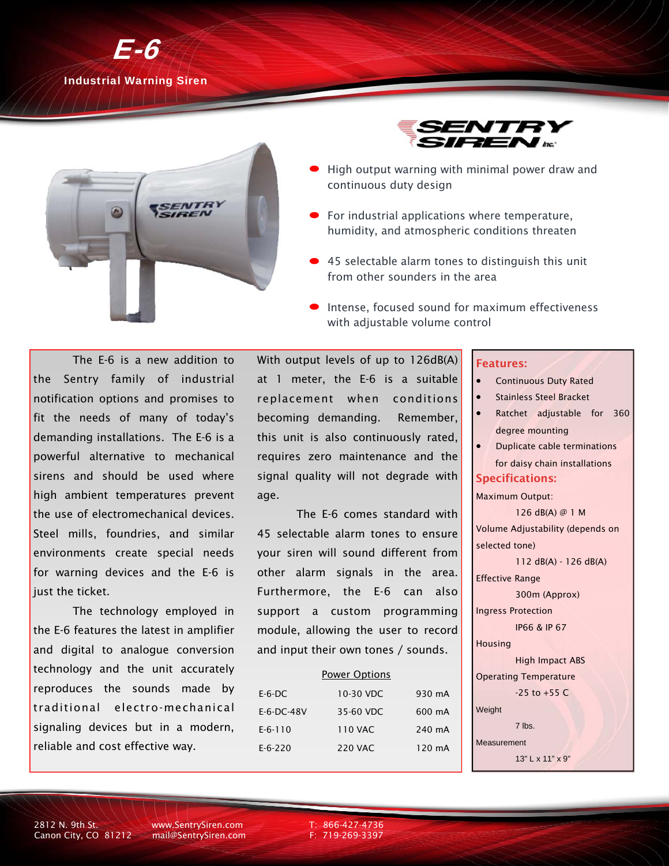

Industrial Warning Siren





- High output warning with minimal power draw and continuous duty design
- For industrial applications where temperature, humidity, and atmospheric conditions threaten
- 45 selectable alarm tones to distinguish this unit from other sounders in the area
- Intense, focused sound for maximum effectiveness with adjustable volume control

 The E-6 is a new addition to the Sentry family of industrial notification options and promises to fit the needs of many of today's demanding installations. The E-6 is a powerful alternative to mechanical sirens and should be used where high ambient temperatures prevent the use of electromechanical devices. Steel mills, foundries, and similar environments create special needs for warning devices and the E-6 is just the ticket.

 The technology employed in the E-6 features the latest in amplifier and digital to analogue conversion technology and the unit accurately reproduces the sounds made by traditional electro-mechanical signaling devices but in a modern, reliable and cost effective way.

With output levels of up to 126dB(A) at 1 meter, the E-6 is a suitable replacement when conditions becoming demanding. Remember, this unit is also continuously rated, requires zero maintenance and the signal quality will not degrade with age.

 The E-6 comes standard with 45 selectable alarm tones to ensure your siren will sound different from other alarm signals in the area. Furthermore, the E-6 can also support a custom programming module, allowing the user to record and input their own tones / sounds.

## Power Options

| $E-6-DC$      | 10-30 VDC | 930 mA |
|---------------|-----------|--------|
| $E-6-DC-48V$  | 35-60 VDC | 600 mA |
| $E-6-110$     | 110 VAC   | 240 mA |
| $E - 6 - 220$ | 220 VAC   | 120 mA |

## Features:

- Continuous Duty Rated
- **•** Stainless Steel Bracket
- Ratchet adjustable for 360 degree mounting
- Duplicate cable terminations for daisy chain installations

## Specifications:

Maximum Output:

 126 dB(A) @ 1 M Volume Adjustability (depends on selected tone)

112 dB(A) - 126 dB(A)

Effective Range

Ingress Protection

300m (Approx)

IP66 & IP 67

Housing

 High Impact ABS Operating Temperature

 $-25$  to  $+55$  C

Weight

7 lbs.

Measurement

13" L x 11" x 9"

2812 N. 9th St. www.SentrySiren.com T: 866-427-4736<br>Canon City, CO 81212 mail@SentrySiren.com F: 719-269-3397 Canon City, CO 81212 mail@SentrySiren.com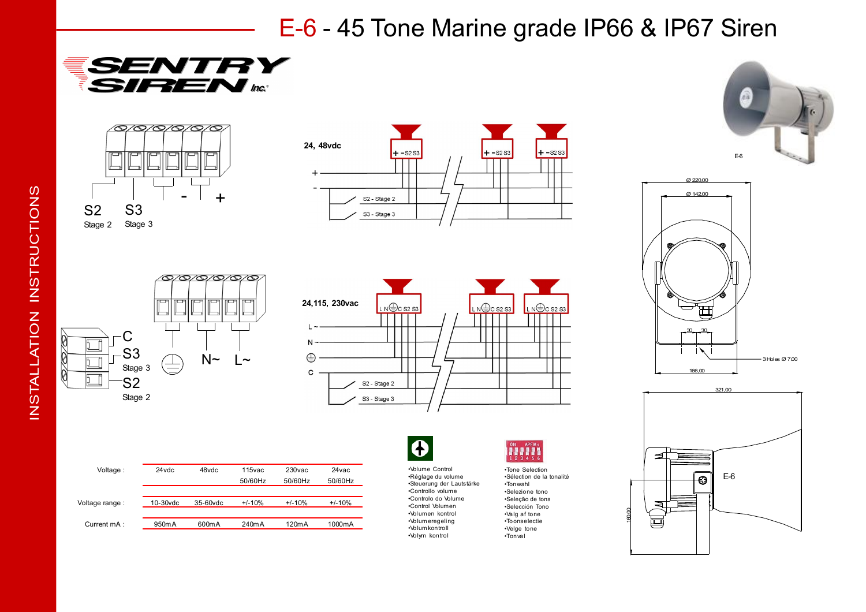E-6 - 45 Tone Marine grade IP66 & IP67 Siren

















| Voltage:       | 24 vdc      | 48vdc       | 115yac   | 230 <sub>vac</sub> | 24 vac   |
|----------------|-------------|-------------|----------|--------------------|----------|
|                |             |             | 50/60Hz  | 50/60Hz            | 50/60Hz  |
|                |             |             |          |                    |          |
| Voltage range: | $10-30$ vdc | $35-60$ vdc | $+/-10%$ | $+/-10%$           | $+/-10%$ |
|                |             |             |          |                    |          |
| Current mA:    | 950m A      | 600m A      | 240mA    | 120mA              | 1000mA   |



•Volume Control •Réglage du volume •Steuerung der Lautstärke •Controllo volume •Controlo do Volume •Control Volumen •Volumen kontrol •Volum eregeling •Volum kontroll •Volym kontrol



•Tone Selection •Sélection de la tonalité •Tonwahl •Selezione tono •Seleção de tons •Selección Tono •Valg af tone •Toonselectie •Velge tone •Tonval